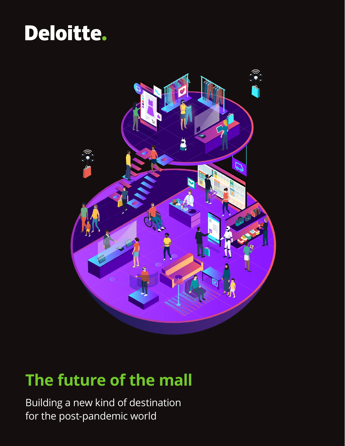## Deloitte.



## **The future of the mall**

Building a new kind of destination for the post-pandemic world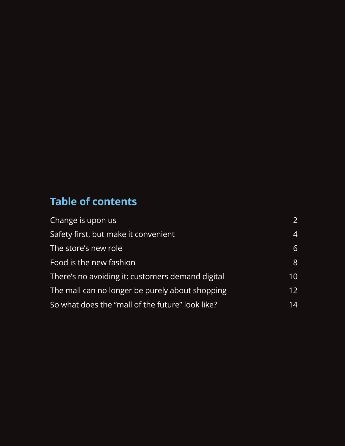### **Table of contents**

| Change is upon us                                | 2  |
|--------------------------------------------------|----|
| Safety first, but make it convenient             | 4  |
| The store's new role                             | 6  |
| Food is the new fashion                          | 8  |
| There's no avoiding it: customers demand digital | 10 |
| The mall can no longer be purely about shopping  | 12 |
| So what does the "mall of the future" look like? | 14 |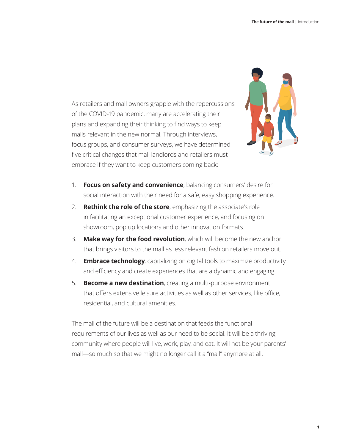As retailers and mall owners grapple with the repercussions of the COVID-19 pandemic, many are accelerating their plans and expanding their thinking to find ways to keep malls relevant in the new normal. Through interviews, focus groups, and consumer surveys, we have determined five critical changes that mall landlords and retailers must embrace if they want to keep customers coming back:



- 1. **Focus on safety and convenience**, balancing consumers' desire for social interaction with their need for a safe, easy shopping experience.
- 2. **Rethink the role of the store**, emphasizing the associate's role in facilitating an exceptional customer experience, and focusing on showroom, pop up locations and other innovation formats.
- 3. **Make way for the food revolution**, which will become the new anchor that brings visitors to the mall as less relevant fashion retailers move out.
- 4. **Embrace technology**, capitalizing on digital tools to maximize productivity and efficiency and create experiences that are a dynamic and engaging.
- 5. **Become a new destination**, creating a multi-purpose environment that offers extensive leisure activities as well as other services, like office, residential, and cultural amenities.

The mall of the future will be a destination that feeds the functional requirements of our lives as well as our need to be social. It will be a thriving community where people will live, work, play, and eat. It will not be your parents' mall—so much so that we might no longer call it a "mall" anymore at all.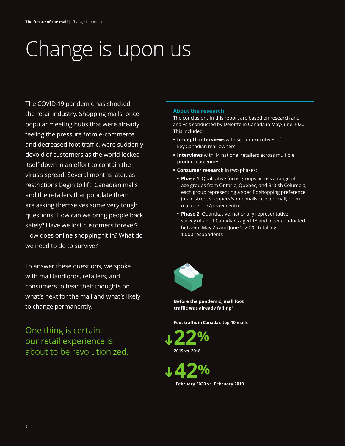# <span id="page-3-0"></span>Change is upon us

The COVID-19 pandemic has shocked the retail industry. Shopping malls, once popular meeting hubs that were already feeling the pressure from e-commerce and decreased foot traffic, were suddenly devoid of customers as the world locked itself down in an effort to contain the virus's spread. Several months later, as restrictions begin to lift, Canadian malls and the retailers that populate them are asking themselves some very tough questions: How can we bring people back safely? Have we lost customers forever? How does online shopping fit in? What do we need to do to survive?

To answer these questions, we spoke with mall landlords, retailers, and consumers to hear their thoughts on what's next for the mall and what's likely to change permanently.

One thing is certain: our retail experience is about to be revolutionized.

### **About the research**

The conclusions in this report are based on research and analysis conducted by Deloitte in Canada in May/June 2020. This included:

- **• In-depth interviews** with senior executives of key Canadian mall owners
- **• Interviews** with 14 national retailers across multiple product categories
- **• Consumer research** in two phases:
	- **• Phase 1:** Qualitative focus groups across a range of age groups from Ontario, Quebec, and British Columbia, each group representing a specific shopping preference (main street shoppers/some malls; closed mall; open mall/big box/power centre)
	- **• Phase 2:** Quantitative, nationally representative survey of adult Canadians aged 18 and older conducted between May 25 and June 1, 2020, totalling 1,000 respondents



**Before the pandemic, mall foot traffic was already falling<sup>1</sup>**

**Foot traffic in Canada's top-10 malls** 

**22% 2019 vs. 2018** 

**42% February 2020 vs. February 2019**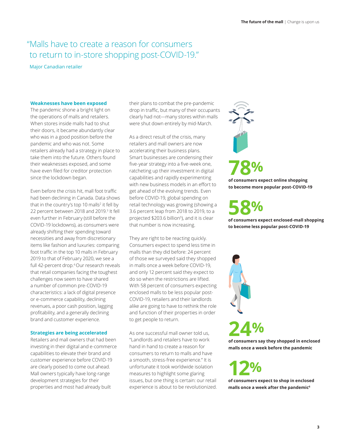### " Malls have to create a reason for consumers to return to in-store shopping post-COVID-19."

Major Canadian retailer

### **Weaknesses have been exposed**

The pandemic shone a bright light on the operations of malls and retailers. When stores inside malls had to shut their doors, it became abundantly clear who was in a good position before the pandemic and who was not. Some retailers already had a strategy in place to take them into the future. Others found their weaknesses exposed, and some have even filed for creditor protection since the lockdown began.

Even before the crisis hit, mall foot traffic had been declining in Canada. Data shows that in the country's top 10 malls $^2$  it fell by 22 percent between 2018 and 2019.3 It fell even further in February (still before the COVID-19 lockdowns), as consumers were already shifting their spending toward necessities and away from discretionary items like fashion and luxuries: comparing foot traffic in the top 10 malls in February 2019 to that of February 2020, we see a full 42-percent drop.<sup>4</sup> Our research reveals that retail companies facing the toughest challenges now seem to have shared a number of common pre-COVID-19 characteristics: a lack of digital presence or e-commerce capability, declining revenues, a poor cash position, lagging profitability, and a generally declining brand and customer experience.

### **Strategies are being accelerated**

Retailers and mall owners that had been investing in their digital and e-commerce capabilities to elevate their brand and customer experience before COVID-19 are clearly poised to come out ahead. Mall owners typically have long-range development strategies for their properties and most had already built

their plans to combat the pre-pandemic drop in traffic, but many of their occupants clearly had not—many stores within malls were shut down entirely by mid-March.

As a direct result of the crisis, many retailers and mall owners are now accelerating their business plans. Smart businesses are condensing their five-year strategy into a five-week one, ratcheting up their investment in digital capabilities and rapidly experimenting with new business models in an effort to get ahead of the evolving trends. Even before COVID-19, global spending on retail technology was growing (showing a 3.6 percent leap from 2018 to 2019, to a projected \$203.6 billion<sup>5</sup>), and it is clear that number is now increasing.

They are right to be reacting quickly. Consumers expect to spend less time in malls than they did before: 24 percent of those we surveyed said they shopped in malls once a week before COVID-19, and only 12 percent said they expect to do so when the restrictions are lifted. With 58 percent of consumers expecting enclosed malls to be less popular post-COVID-19, retailers and their landlords alike are going to have to rethink the role and function of their properties in order to get people to return.

As one successful mall owner told us, "Landlords and retailers have to work hand in hand to create a reason for consumers to return to malls and have a smooth, stress-free experience." It is unfortunate it took worldwide isolation measures to highlight some glaring issues, but one thing is certain: our retail experience is about to be revolutionized.

**78% of consumers expect online shopping to become more popular post-COVID-19** 

**58% of consumers expect enclosed-mall shopping** 

**to become less popular post-COVID-19** 



**24%**

**of consumers say they shopped in enclosed malls once a week before the pandemic** 

**12% of consumers expect to shop in enclosed** 

**malls once a week after the pandemic6**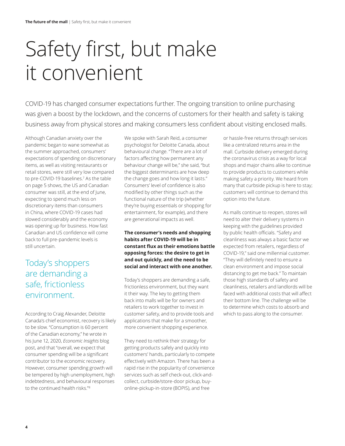# <span id="page-5-0"></span>Safety first, but make it convenient

COVID-19 has changed consumer expectations further. The ongoing transition to online purchasing was given a boost by the lockdown, and the concerns of customers for their health and safety is taking business away from physical stores and making consumers less confident about visiting enclosed malls.

Although Canadian anxiety over the pandemic began to wane somewhat as the summer approached, consumers' expectations of spending on discretionary items, as well as visiting restaurants or retail stores, were still very low compared to pre-COVID-19 baselines.7 As the table on page 5 shows, the US and Canadian consumer was still, at the end of June, expecting to spend much less on discretionary items than consumers in China, where COVID-19 cases had slowed considerably and the economy was opening up for business. How fast Canadian and US confidence will come back to full pre-pandemic levels is still uncertain.

### Today's shoppers are demanding a safe, frictionless environment.

According to Craig Alexander, Deloitte Canada's chief economist, recovery is likely to be slow. "Consumption is 60 percent of the Canadian economy," he wrote in his June 12, 2020, *Economic Insights* blog post, and that "overall, we expect that consumer spending will be a significant contributor to the economic recovery. However, consumer spending growth will be tempered by high unemployment, high indebtedness, and behavioural responses to the continued health risks."8

We spoke with Sarah Reid, a consumer psychologist for Deloitte Canada, about behavioural change. "There are a lot of factors affecting how permanent any behaviour change will be," she said, "but the biggest determinants are how deep the change goes and how long it lasts." Consumers' level of confidence is also modified by other things such as the functional nature of the trip (whether they're buying essentials or shopping for entertainment, for example), and there are generational impacts as well.

**The consumer's needs and shopping habits after COVID-19 will be in constant flux as their emotions battle opposing forces: the desire to get in and out quickly, and the need to be social and interact with one another.** 

Today's shoppers are demanding a safe, frictionless environment, but they want it their way. The key to getting them back into malls will be for owners and retailers to work together to invest in customer safety, and to provide tools and applications that make for a smoother, more convenient shopping experience.

They need to rethink their strategy for getting products safely and quickly into customers' hands, particularly to compete effectively with Amazon. There has been a rapid rise in the popularity of convenience services such as self check-out, click-andcollect, curbside/store-door pickup, buyonline-pickup-in-store (BOPIS), and free

or hassle-free returns through services like a centralized returns area in the mall. Curbside delivery emerged during the coronavirus crisis as a way for local shops and major chains alike to continue to provide products to customers while making safety a priority. We heard from many that curbside pickup is here to stay; customers will continue to demand this option into the future.

As malls continue to reopen, stores will need to alter their delivery systems in keeping with the guidelines provided by public health officials. "Safety and cleanliness was always a basic factor we expected from retailers, regardless of COVID-19," said one millennial customer. "They will definitely need to ensure a clean environment and impose social distancing to get me back." To maintain those high standards of safety and cleanliness, retailers and landlords will be faced with additional costs that will affect their bottom line. The challenge will be to determine which costs to absorb and which to pass along to the consumer.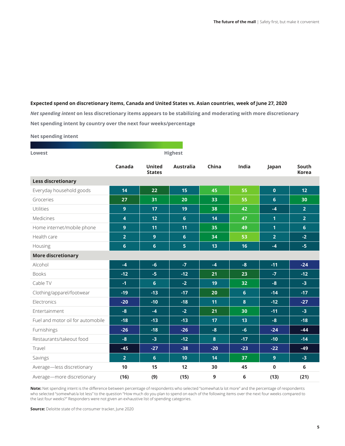### **Expected spend on discretionary items, Canada and United States vs. Asian countries, week of June 27, 2020**

*Net spending intent* **on less discretionary items appears to be stabilizing and moderating with more discretionary Net spending intent by country over the next four weeks/percentage** 

**Net spending intent** 

| Lowest                            | <b>Highest</b> |                                |                  |       |                  |                |                       |
|-----------------------------------|----------------|--------------------------------|------------------|-------|------------------|----------------|-----------------------|
|                                   | Canada         | <b>United</b><br><b>States</b> | <b>Australia</b> | China | India            | Japan          | South<br><b>Korea</b> |
| <b>Less discretionary</b>         |                |                                |                  |       |                  |                |                       |
| Everyday household goods          | 14             | 22                             | 15               | 45    | 55               | $\mathbf 0$    | 12                    |
| Groceries                         | 27             | 31                             | 20               | 33    | 55               | $6\phantom{1}$ | 30                    |
| Utilities                         | $\overline{9}$ | 17                             | 19               | 38    | 42               | $-4$           | 2 <sup>1</sup>        |
| Medicines                         | $\overline{4}$ | 12                             | 6                | 14    | 47               | $\overline{1}$ | 2 <sup>1</sup>        |
| Home internet/mobile phone        | $\overline{9}$ | 11                             | 11               | 35    | 49               | $\overline{1}$ | $6\phantom{1}$        |
| Health care                       | $\overline{2}$ | $\boldsymbol{9}$               | $6\phantom{1}6$  | 34    | 53               | $\overline{2}$ | $-2$                  |
| Housing                           | 6              | 6                              | 5 <sub>5</sub>   | 13    | 16               | $-4$           | $-5$                  |
| <b>More discretionary</b>         |                |                                |                  |       |                  |                |                       |
| Alcohol                           | $-4$           | $-6$                           | $-7$             | $-4$  | $-8$             | $-11$          | $-24$                 |
| <b>Books</b>                      | $-12$          | $-5$                           | $-12$            | 21    | 23               | $-7$           | $-12$                 |
| Cable TV                          | $-1$           | $6\phantom{1}$                 | $-2$             | 19    | 32               | $-8$           | $-3$                  |
| Clothing/apparel/footwear         | $-19$          | $-13$                          | $-17$            | 20    | 6                | $-14$          | $-17$                 |
| Electronics                       | $-20$          | $-10$                          | $-18$            | 11    | $\boldsymbol{8}$ | $-12$          | $-27$                 |
| Entertainment                     | $-8$           | $-4$                           | $-2$             | 21    | 30               | $-11$          | $-3$                  |
| Fuel and motor oil for automobile | $-18$          | $-13$                          | $-13$            | 17    | 13               | $-8$           | $-18$                 |
| Furnishings                       | $-26$          | $-18$                          | $-26$            | $-8$  | $-6$             | $-24$          | $-44$                 |
| Restaurants/takeout food          | $-8$           | $-3$                           | $-12$            | 8     | $-17$            | $-10$          | $-14$                 |
| Travel                            | $-45$          | $-27$                          | $-38$            | $-20$ | $-23$            | $-22$          | $-49$                 |
| Savings                           | $\overline{2}$ | $6\phantom{1}$                 | 10               | 14    | 37               | $\mathbf{9}$   | $-3$                  |
| Average-less discretionary        | 10             | 15                             | 12               | 30    | 45               | $\pmb{0}$      | 6                     |
| Average-more discretionary        | (16)           | (9)                            | (15)             | 9     | 6                | (13)           | (21)                  |

**Note:** Net spending intent is the difference between percentage of respondents who selected "somewhat/a lot more" and the percentage of respondents who selected "somewhat/a lot less" to the question "How much do you plan to spend on each of the following items over the next four weeks compared to the last four weeks?" Responders were not given an exhaustive list of spending categories.

**Source:** Deloitte state of the consumer tracker, June 2020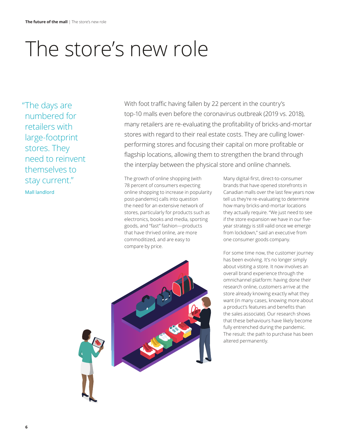## <span id="page-7-0"></span>The store's new role

"The days are numbered for retailers with large-footprint stores. They need to reinvent themselves to stay current."

Mall landlord

With foot traffic having fallen by 22 percent in the country's top-10 malls even before the coronavirus outbreak (2019 vs. 2018), many retailers are re-evaluating the profitability of bricks-and-mortar stores with regard to their real estate costs. They are culling lowerperforming stores and focusing their capital on more profitable or flagship locations, allowing them to strengthen the brand through the interplay between the physical store and online channels.

The growth of online shopping (with 78 percent of consumers expecting online shopping to increase in popularity post-pandemic) calls into question the need for an extensive network of stores, particularly for products such as electronics, books and media, sporting goods, and "fast" fashion—products that have thrived online, are more commoditized, and are easy to compare by price.

Many digital-first, direct-to-consumer brands that have opened storefronts in Canadian malls over the last few years now tell us they're re-evaluating to determine how many bricks-and-mortar locations they actually require. "We just need to see if the store expansion we have in our fiveyear strategy is still valid once we emerge from lockdown," said an executive from one consumer goods company.

For some time now, the customer journey has been evolving. It's no longer simply about visiting a store. It now involves an overall brand experience through the omnichannel platform: having done their research online, customers arrive at the store already knowing exactly what they want (in many cases, knowing more about a product's features and benefits than the sales associate). Our research shows that these behaviours have likely become fully entrenched during the pandemic. The result: the path to purchase has been altered permanently.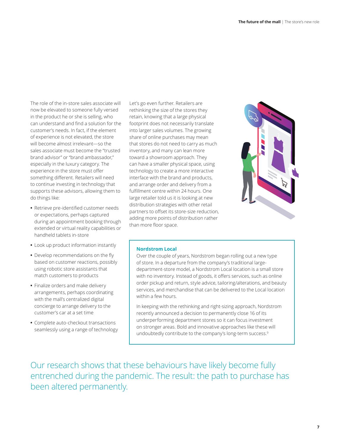The role of the in-store sales associate will now be elevated to someone fully versed in the product he or she is selling, who can understand and find a solution for the customer's needs. In fact, if the element of experience is not elevated, the store will become almost irrelevant—so the sales associate must become the "trusted brand advisor" or "brand ambassador," especially in the luxury category. The experience in the store must offer something different. Retailers will need to continue investing in technology that supports these advisors, allowing them to do things like:

- **•** Retrieve pre-identified customer needs or expectations, perhaps captured during an appointment booking through extended or virtual reality capabilities or handheld tablets in-store
- **•** Look up product information instantly
- **•** Develop recommendations on the fly based on customer reactions, possibly using robotic store assistants that match customers to products
- **•** Finalize orders and make delivery arrangements, perhaps coordinating with the mall's centralized digital concierge to arrange delivery to the customer's car at a set time
- **•** Complete auto-checkout transactions seamlessly using a range of technology

Let's go even further. Retailers are rethinking the size of the stores they retain, knowing that a large physical footprint does not necessarily translate into larger sales volumes. The growing share of online purchases may mean that stores do not need to carry as much inventory, and many can lean more toward a showroom approach. They can have a smaller physical space, using technology to create a more interactive interface with the brand and products, and arrange order and delivery from a fulfillment centre within 24 hours. One large retailer told us it is looking at new distribution strategies with other retail partners to offset its store-size reduction, adding more points of distribution rather than more floor space.



#### **Nordstrom Local**

Over the couple of years, Nordstrom began rolling out a new type of store. In a departure from the company's traditional largedepartment-store model, a Nordstrom Local location is a small store with no inventory. Instead of goods, it offers services, such as online order pickup and return, style advice, tailoring/alterations, and beauty services, and merchandise that can be delivered to the Local location within a few hours.

In keeping with the rethinking and right-sizing approach, Nordstrom recently announced a decision to permanently close 16 of its underperforming department stores so it can focus investment on stronger areas. Bold and innovative approaches like these will undoubtedly contribute to the company's long-term success.<sup>9</sup>

Our research shows that these behaviours have likely become fully entrenched during the pandemic. The result: the path to purchase has been altered permanently.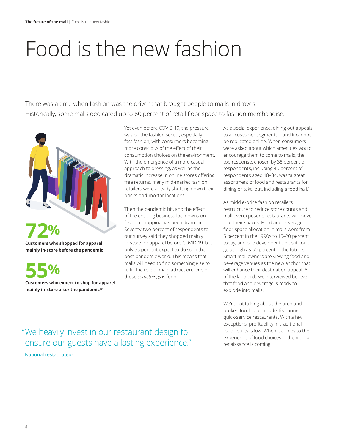# <span id="page-9-0"></span>Food is the new fashion

There was a time when fashion was the driver that brought people to malls in droves. Historically, some malls dedicated up to 60 percent of retail floor space to fashion merchandise.



**55% Customers who expect to shop for apparel mainly in-store after the pandemic<sup>10</sup>**

Yet even before COVID-19, the pressure was on the fashion sector, especially fast fashion, with consumers becoming more conscious of the effect of their consumption choices on the environment. With the emergence of a more casual approach to dressing, as well as the dramatic increase in online stores offering free returns, many mid-market fashion retailers were already shutting down their bricks-and-mortar locations.

Then the pandemic hit, and the effect of the ensuing business lockdowns on fashion shopping has been dramatic. Seventy-two percent of respondents to our survey said they shopped mainly in-store for apparel before COVID-19, but only 55 percent expect to do so in the post-pandemic world. This means that malls will need to find something else to fulfill the role of main attraction. One of those *somethings* is food.

As a social experience, dining out appeals to all customer segments—and it cannot be replicated online. When consumers were asked about which amenities would encourage them to come to malls, the top response, chosen by 35 percent of respondents, including 40 percent of respondents aged 18–34, was "a great assortment of food and restaurants for dining or take-out, including a food hall."

As middle-price fashion retailers restructure to reduce store counts and mall overexposure, restaurants will move into their spaces. Food and beverage floor-space allocation in malls went from 5 percent in the 1990s to 15–20 percent today, and one developer told us it could go as high as 50 percent in the future. Smart mall owners are viewing food and beverage venues as the new anchor that will enhance their destination appeal. All of the landlords we interviewed believe that food and beverage is ready to explode into malls.

We're not talking about the tired and broken food-court model featuring quick-service restaurants. With a few exceptions, profitability in traditional food courts is low. When it comes to the experience of food choices in the mall, a renaissance is coming.

" We heavily invest in our restaurant design to ensure our guests have a lasting experience."

National restaurateur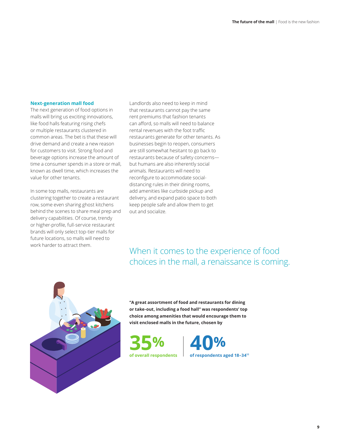#### **Next-generation mall food**

The next generation of food options in malls will bring us exciting innovations, like food halls featuring rising chefs or multiple restaurants clustered in common areas. The bet is that these will drive demand and create a new reason for customers to visit. Strong food and beverage options increase the amount of time a consumer spends in a store or mall, known as dwell time, which increases the value for other tenants.

In some top malls, restaurants are clustering together to create a restaurant row, some even sharing ghost kitchens behind the scenes to share meal prep and delivery capabilities. Of course, trendy or higher-profile, full-service restaurant brands will only select top-tier malls for future locations, so malls will need to work harder to attract them.

Landlords also need to keep in mind that restaurants cannot pay the same rent premiums that fashion tenants can afford, so malls will need to balance rental revenues with the foot traffic restaurants generate for other tenants. As businesses begin to reopen, consumers are still somewhat hesitant to go back to restaurants because of safety concerns but humans are also inherently social animals. Restaurants will need to reconfigure to accommodate socialdistancing rules in their dining rooms, add amenities like curbside pickup and delivery, and expand patio space to both keep people safe and allow them to get out and socialize.

### When it comes to the experience of food choices in the mall, a renaissance is coming.



**"A great assortment of food and restaurants for dining or take-out, including a food hall" was respondents' top choice among amenities that would encourage them to visit enclosed malls in the future, chosen by** 



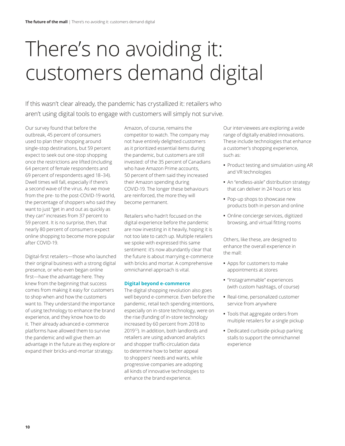## <span id="page-11-0"></span>There's no avoiding it: customers demand digital

If this wasn't clear already, the pandemic has crystallized it: retailers who aren't using digital tools to engage with customers will simply not survive.

Our survey found that before the outbreak, 45 percent of consumers used to plan their shopping around single-stop destinations, but 59 percent expect to seek out one-stop shopping once the restrictions are lifted (including 64 percent of female respondents and 69 percent of respondents aged 18–34). Dwell times will fall, especially if there's a second wave of the virus. As we move from the pre- to the post-COVID-19 world, the percentage of shoppers who said they want to just "get in and out as quickly as they can" increases from 37 percent to 59 percent. It is no surprise, then, that nearly 80 percent of consumers expect online shopping to become more popular after COVID-19.

Digital-first retailers—those who launched their original business with a strong digital presence, or who even began online first—have the advantage here. They knew from the beginning that success comes from making it easy for customers to shop when and how the customers want to. They understand the importance of using technology to enhance the brand experience, and they know how to do it. Their already advanced e-commerce platforms have allowed them to survive the pandemic and will give them an advantage in the future as they explore or expand their bricks-and-mortar strategy.

Amazon, of course, remains the competitor to watch. The company may not have entirely delighted customers as it prioritized essential items during the pandemic, but customers are still invested: of the 35 percent of Canadians who have Amazon Prime accounts, 50 percent of them said they increased their Amazon spending during COVID-19. The longer these behaviours are reinforced, the more they will become permanent.

Retailers who hadn't focused on the digital experience before the pandemic are now investing in it heavily, hoping it is not too late to catch up. Multiple retailers we spoke with expressed this same sentiment: it's now abundantly clear that the future is about marrying e-commerce with bricks and mortar. A comprehensive omnichannel approach is vital.

### **Digital beyond e-commerce**

The digital shopping revolution also goes well beyond e-commerce. Even before the pandemic, retail tech spending intentions, especially on in-store technology, were on the rise (funding of in-store technology increased by 60 percent from 2018 to 2019<sup>12</sup>). In addition, both landlords and retailers are using advanced analytics and shopper traffic-circulation data to determine how to better appeal to shoppers' needs and wants, while progressive companies are adopting all kinds of innovative technologies to enhance the brand experience.

Our interviewees are exploring a wide range of digitally enabled innovations. These include technologies that enhance a customer's shopping experience, such as:

- **•** Product testing and simulation using AR and VR technologies
- **•** An "endless-aisle" distribution strategy that can deliver in 24 hours or less
- **•** Pop-up shops to showcase new products both in person and online
- **•** Online concierge services, digitized browsing, and virtual fitting rooms

Others, like these, are designed to enhance the overall experience in the mall:

- **•** Apps for customers to make appointments at stores
- **•** "Instagrammable" experiences (with custom hashtags, of course)
- **•** Real-time, personalized customer service from anywhere
- **•** Tools that aggregate orders from multiple retailers for a single pickup
- **•** Dedicated curbside-pickup parking stalls to support the omnichannel experience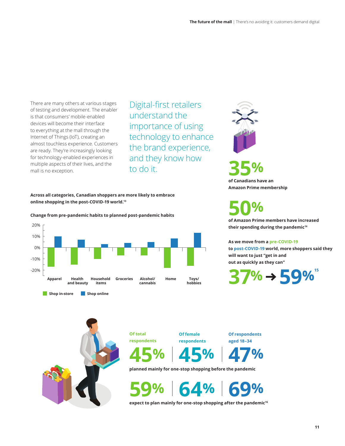There are many others at various stages of testing and development. The enabler is that consumers' mobile-enabled devices will become their interface to everything at the mall through the Internet of Things (IoT), creating an almost touchless experience. Customers are ready. They're increasingly looking for technology-enabled experiences in multiple aspects of their lives, and the mall is no exception.

Digital-first retailers understand the importance of using technology to enhance the brand experience, and they know how to do it.

**Across all categories, Canadian shoppers are more likely to embrace online shopping in the post-COVID-19 world.<sup>13</sup>**

**Change from pre-pandemic habits to planned post-pandemic habits** 







**50% of Amazon Prime members have increased** 

**their spending during the pandemic14** 

#### **As we move from a pre-COVID-19**

**to post-COVID-19 world, more shoppers said they will want to just "get in and out as quickly as they can"** 





**Shop in-store Shop online** 

**Of total respondents**  **Of female respondents** 

**Of respondents aged 18–34** 

**45% 45% 47%** 

**planned mainly for one-stop shopping before the pandemic** 

**59% 64% 69%**

**expect to plan mainly for one-stop shopping after the pandemic16**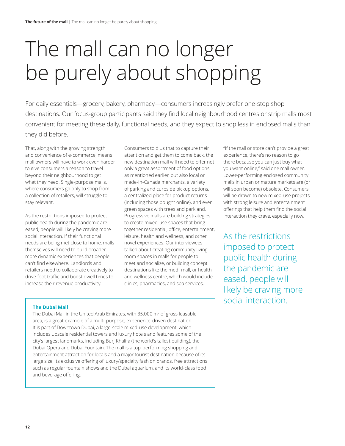# <span id="page-13-0"></span>The mall can no longer be purely about shopping

For daily essentials—grocery, bakery, pharmacy—consumers increasingly prefer one-stop shop destinations. Our focus-group participants said they find local neighbourhood centres or strip malls most convenient for meeting these daily, functional needs, and they expect to shop less in enclosed malls than they did before.

That, along with the growing strength and convenience of e-commerce, means mall owners will have to work even harder to give consumers a reason to travel beyond their neighbourhood to get what they need. Single-purpose malls, where consumers go only to shop from a collection of retailers, will struggle to stay relevant.

As the restrictions imposed to protect public health during the pandemic are eased, people will likely be craving more social interaction. If their functional needs are being met close to home, malls themselves will need to build broader, more dynamic experiences that people can't find elsewhere. Landlords and retailers need to collaborate creatively to drive foot traffic and boost dwell times to increase their revenue productivity.

Consumers told us that to capture their attention and get them to come back, the new destination mall will need to offer not only a great assortment of food options, as mentioned earlier, but also local or made-in-Canada merchants, a variety of parking and curbside pickup options, a centralized place for product returns (including those bought online), and even green spaces with trees and parkland. Progressive malls are building strategies to create mixed-use spaces that bring together residential, office, entertainment, leisure, health and wellness, and other novel experiences. Our interviewees talked about creating community livingroom spaces in malls for people to meet and socialize, or building concept destinations like the medi-mall, or health and wellness centre, which would include clinics, pharmacies, and spa services.

"If the mall or store can't provide a great experience, there's no reason to go there because you can just buy what you want online," said one mall owner. Lower-performing enclosed community malls in urban or mature markets are (or will soon become) obsolete. Consumers will be drawn to new mixed-use projects with strong leisure and entertainment offerings that help them find the social interaction they crave, especially now.

As the restrictions imposed to protect public health during the pandemic are eased, people will likely be craving more social interaction.

### **The Dubai Mall**

The Dubai Mall in the United Arab Emirates, with 35,000  $\mathrm{m}^2$  of gross leasable area, is a great example of a multi-purpose, experience-driven destination. It is part of Downtown Dubai, a large-scale mixed-use development, which includes upscale residential towers and luxury hotels and features some of the city's largest landmarks, including Burj Khalifa (the world's tallest building), the Dubai Opera and Dubai Fountain. The mall is a top-performing shopping and entertainment attraction for locals and a major tourist destination because of its large size, its exclusive offering of luxury/specialty fashion brands, free attractions such as regular fountain shows and the Dubai aquarium, and its world-class food and beverage offering.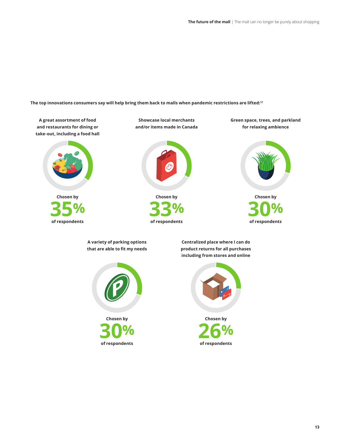**The top innovations consumers say will help bring them back to malls when pandemic restrictions are lifted:17** 

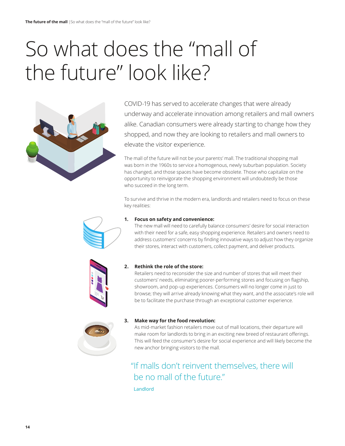# <span id="page-15-0"></span>So what does the "mall of the future" look like?



COVID-19 has served to accelerate changes that were already underway and accelerate innovation among retailers and mall owners alike. Canadian consumers were already starting to change how they shopped, and now they are looking to retailers and mall owners to elevate the visitor experience.

The mall of the future will not be your parents' mall. The traditional shopping mall was born in the 1960s to service a homogenous, newly suburban population. Society has changed, and those spaces have become obsolete. Those who capitalize on the opportunity to reinvigorate the shopping environment will undoubtedly be those who succeed in the long term.

To survive and thrive in the modern era, landlords and retailers need to focus on these key realities:



### **1. Focus on safety and convenience:**

The new mall will need to carefully balance consumers' desire for social interaction with their need for a safe, easy shopping experience. Retailers and owners need to address customers' concerns by finding innovative ways to adjust how they organize their stores, interact with customers, collect payment, and deliver products.



### **2. Rethink the role of the store:**

 Retailers need to reconsider the size and number of stores that will meet their customers' needs, eliminating poorer-performing stores and focusing on flagship, showroom, and pop-up experiences. Consumers will no longer come in just to browse; they will arrive already knowing what they want, and the associate's role will be to facilitate the purchase through an exceptional customer experience.



### **3. Make way for the food revolution:**

As mid-market fashion retailers move out of mall locations, their departure will make room for landlords to bring in an exciting new breed of restaurant offerings. This will feed the consumer's desire for social experience and will likely become the new anchor bringing visitors to the mall.

### "If malls don't reinvent themselves, there will be no mall of the future."

Landlord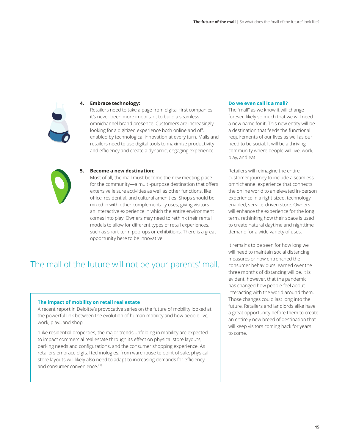

#### **4. Embrace technology:**

Retailers need to take a page from digital-first companies it's never been more important to build a seamless omnichannel brand presence. Customers are increasingly looking for a digitized experience both online and off, enabled by technological innovation at every turn. Malls and retailers need to use digital tools to maximize productivity and efficiency and create a dynamic, engaging experience.



#### **5. Become a new destination:**

Most of all, the mall must become the new meeting place for the community—a multi-purpose destination that offers extensive leisure activities as well as other functions, like office, residential, and cultural amenities. Shops should be mixed in with other complementary uses, giving visitors an interactive experience in which the entire environment comes into play. Owners may need to rethink their rental models to allow for different types of retail experiences, such as short-term pop-ups or exhibitions. There is a great opportunity here to be innovative.

### The mall of the future will not be your parents' mall.

#### **The impact of mobility on retail real estate**

A recent report in Deloitte's provocative series on the future of mobility looked at the powerful link between the evolution of human mobility and how people live, work, play...and shop:

"Like residential properties, the major trends unfolding in mobility are expected to impact commercial real estate through its effect on physical store layouts, parking needs and configurations, and the consumer shopping experience. As retailers embrace digital technologies, from warehouse to point of sale, physical store layouts will likely also need to adapt to increasing demands for efficiency and consumer convenience."18

#### **Do we even call it a mall?**

The "mall" as we know it will change forever, likely so much that we will need a new name for it. This new entity will be a destination that feeds the functional requirements of our lives as well as our need to be social. It will be a thriving community where people will live, work, play, and eat.

Retailers will reimagine the entire customer journey to include a seamless omnichannel experience that connects the online world to an elevated in-person experience in a right-sized, technologyenabled, service-driven store. Owners will enhance the experience for the long term, rethinking how their space is used to create natural daytime and nighttime demand for a wide variety of uses.

It remains to be seen for how long we will need to maintain social distancing measures or how entrenched the consumer behaviours learned over the three months of distancing will be. It is evident, however, that the pandemic has changed how people feel about interacting with the world around them. Those changes could last long into the future. Retailers and landlords alike have a great opportunity before them to create an entirely new breed of destination that will keep visitors coming back for years to come.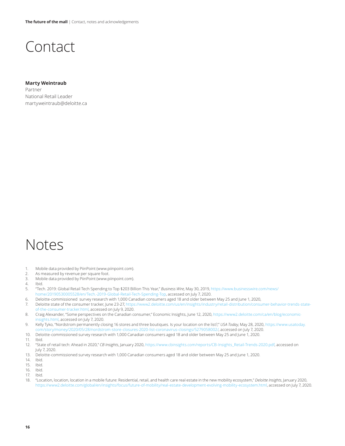### Contact

### **Marty Weintraub**  Partner National Retail Leader [martyweintraub@deloitte.ca](mailto:martyweintraub@deloitte.ca)

### Notes

- 1. Mobile data provided by PiinPoint [\(www.piinpoint.com\)](http://www.piinpoint.com).
- 2. As measured by revenue per square foot.
- 3. Mobile data provided by PiinPoint [\(www.piinpoint.com\)](http://www.piinpoint.com).
- 4. Ibid.
- 5. "Tech. 2019: Global Retail Tech Spending to Top \$203 Billion This Year," *Business Wire*, May 30, 2019, https://www.businesswire.com/news/ [home/20190530005528/en/Tech.-2019-Global-Retail-Tech-Spending-Top,](https://www.businesswire.com/news/home/20190530005528/en/Tech.-2019-Global-Retail-Tech-Spending-Top) accessed on July 7, 2020.
- 6. Deloitte-commissioned survey research with 1,000 Canadian consumers aged 18 and older between May 25 and June 1, 2020,
- 7. [Deloitte state of the consumer tracker, June 23-27, https://www2.deloitte.com/us/en/insights/industry/retail-distribution/consumer-behavior-trends-state](https://www2.deloitte.com/us/en/insights/industry/retail-distribution/consumer-behavior-trends-state-of-the-consumer-tracker.html)of-the-consumer-tracker.html, accessed on July 9, 2020.
- 8. [Craig Alexander, "Some perspectives on the Canadian consumer," Economic Insights, June 12, 2020, https://www2.deloitte.com/ca/en/blog/economic](https://www2.deloitte.com/ca/en/blog/economic-insights.html)insights.html, accessed on July 7, 2020.
- 9. [Kelly Tyko, "Nordstrom permanently closing 16 stores and three boutiques. Is your location on the list?,"](https://www.usatoday.com/story/money/2020/05/28/nordstrom-store-closures-2020-list-coronavirus-closings/5279058002/) *USA Today*, May 28, 2020, https://www.usatoday. com/story/money/2020/05/28/nordstrom-store-closures-2020-list-coronavirus-closings/5279058002/, accessed on July 7, 2020.
- 10. Deloitte-commissioned survey research with 1,000 Canadian consumers aged 18 and older between May 25 and June 1, 2020.
- 11. Ibid.
- 12. " State of retail tech: Ahead in 2020," *CB Insights*, January 2020, [https://www.cbinsights.com/reports/CB-Insights\\_Retail-Trends-2020.pdf,](https://www.cbinsights.com/reports/CB-Insights_Retail-Trends-2020.pdf) accessed on July 7, 2020.
- 13. Deloitte-commissioned survey research with 1,000 Canadian consumers aged 18 and older between May 25 and June 1, 2020.
- 14. Ibid.
- 15. Ibid.
- 16. Ibid.
- 17. Ibid.

<sup>18. &</sup>quot; Location, location, location in a mobile future: Residential, retail, and health care real estate in the new mobility ecosystem," *Deloitte Insights*, January 2020, <https://www2.deloitte.com/global/en/insights/focus/future-of-mobility/real-estate-development-evolving-mobility-ecosystem.html>, accessed on July 7, 2020.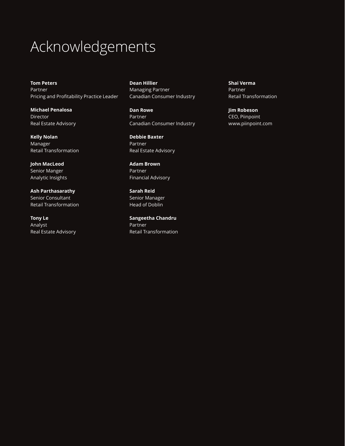## Acknowledgements

**Tom Peters**  Partner Pricing and Profitability Practice Leader

**Michael Penalosa**  Director Real Estate Advisory

**Kelly Nolan**  Manager Retail Transformation

**John MacLeod**  Senior Manger Analytic Insights

**Ash Parthasarathy**  Senior Consultant Retail Transformation

**Tony Le**  Analyst Real Estate Advisory **Dean Hillier**  Managing Partner Canadian Consumer Industry

**Dan Rowe**  Partner Canadian Consumer Industry

**Debbie Baxter**  Partner Real Estate Advisory

**Adam Brown**  Partner Financial Advisory

**Sarah Reid**  Senior Manager Head of Doblin

**Sangeetha Chandru**  Partner Retail Transformation **Shai Verma**  Partner Retail Transformation

**Jim Robeson**  CEO, Piinpoint [www.piinpoint.com](http://www.piinpoint.com)